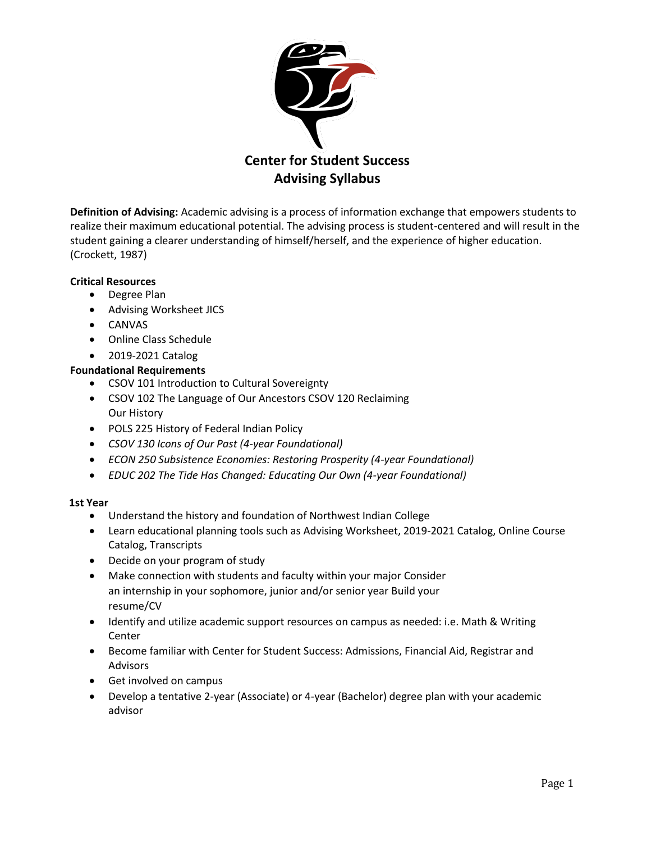

**Definition of Advising:** Academic advising is a process of information exchange that empowers students to realize their maximum educational potential. The advising process is student-centered and will result in the student gaining a clearer understanding of himself/herself, and the experience of higher education. (Crockett, 1987)

### **Critical Resources**

- Degree Plan
- Advising Worksheet JICS
- CANVAS
- Online Class Schedule
- 2019-2021 Catalog

### **Foundational Requirements**

- CSOV 101 Introduction to Cultural Sovereignty
- CSOV 102 The Language of Our Ancestors CSOV 120 Reclaiming Our History
- POLS 225 History of Federal Indian Policy
- *CSOV 130 Icons of Our Past (4-year Foundational)*
- *ECON 250 Subsistence Economies: Restoring Prosperity (4-year Foundational)*
- *EDUC 202 The Tide Has Changed: Educating Our Own (4-year Foundational)*

### **1st Year**

- Understand the history and foundation of Northwest Indian College
- Learn educational planning tools such as Advising Worksheet, 2019-2021 Catalog, Online Course Catalog, Transcripts
- Decide on your program of study
- Make connection with students and faculty within your major Consider an internship in your sophomore, junior and/or senior year Build your resume/CV
- Identify and utilize academic support resources on campus as needed: i.e. Math & Writing Center
- Become familiar with Center for Student Success: Admissions, Financial Aid, Registrar and Advisors
- Get involved on campus
- Develop a tentative 2-year (Associate) or 4-year (Bachelor) degree plan with your academic advisor